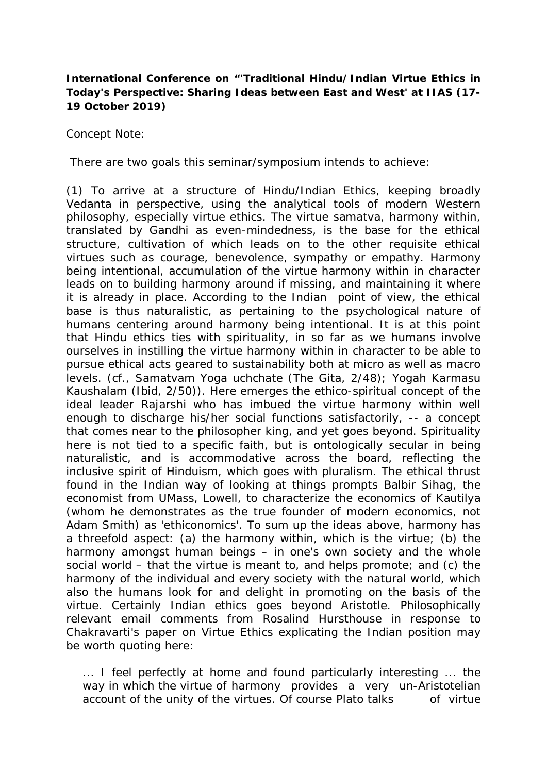## **International Conference on "***'Traditional Hindu/Indian Virtue Ethics in Today's Perspective: Sharing Ideas between East and West' at IIAS* **(17- 19 October 2019)**

Concept Note:

There are two goals this seminar/symposium intends to achieve:

(1) To arrive at a structure of Hindu/Indian Ethics, keeping broadly Vedanta in perspective, using the analytical tools of modern Western philosophy, especially virtue ethics. The virtue samatva, *harmony within*, translated by Gandhi as *even-mindedness*, is the base for the ethical structure, cultivation of which leads on to the other requisite ethical virtues such as courage, benevolence, sympathy or empathy. Harmony being *intentional*, accumulation of the virtue *harmony within* in character leads on to building harmony around if missing, and maintaining it where it is already in place. According to the Indian point of view, the ethical base is thus naturalistic, as pertaining to the psychological nature of humans centering around harmony being intentional. It is at this point that Hindu ethics ties with spirituality, in so far as we humans involve ourselves in instilling the virtue *harmony within* in character to be able to pursue ethical acts geared to sustainability both at micro as well as macro levels. (cf., Samatvam Yoga uchchate (The Gita, 2/48); Yogah Karmasu Kaushalam (Ibid, 2/50)). Here emerges the ethico-spiritual concept of the ideal leader *Rajarshi* who has imbued the virtue *harmony within* well enough to discharge his/her social functions satisfactorily, -- a concept that comes near to the *philosopher king*, and yet goes beyond. Spirituality here is not tied to a specific faith, but is ontologically secular in being naturalistic, and is accommodative across the board, reflecting the inclusive spirit of Hinduism, which goes with pluralism. The ethical thrust found in the Indian way of looking at things prompts Balbir Sihag, the economist from UMass, Lowell, to characterize the economics of Kautilya (whom he demonstrates as the true founder of modern economics, not Adam Smith) as 'ethiconomics'. To sum up the ideas above, harmony has a threefold aspect: (a) the *harmony within*, which is the virtue; (b) the harmony amongst human beings – in one's own society and the whole social world – that the virtue is meant to, and helps promote; and (c) the harmony of the individual and every society with the natural world, which also the humans look for and delight in promoting on the basis of the virtue. Certainly Indian ethics goes beyond Aristotle. Philosophically relevant email comments from Rosalind Hursthouse in response to Chakravarti's paper on Virtue Ethics explicating the Indian position may be worth quoting here:

... I feel perfectly at home and found particularly interesting ... the way in which the virtue of harmony provides a very un-Aristotelian account of the *unity* of the virtues. Of course Plato talks of virtue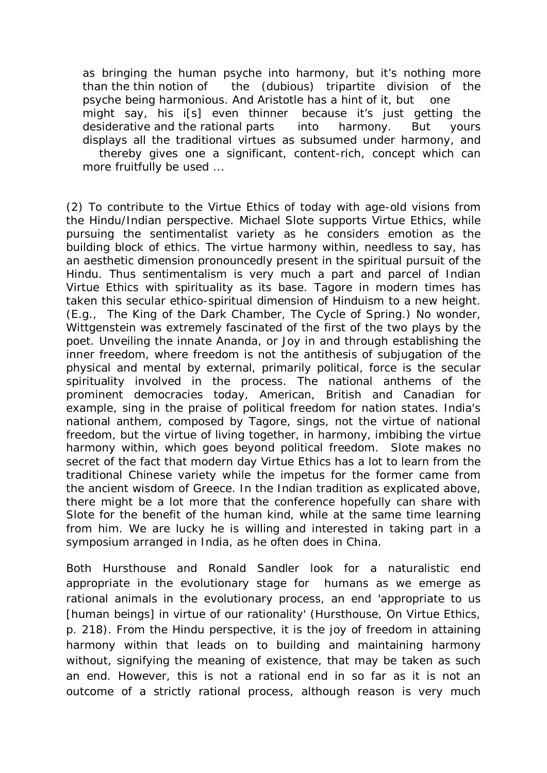as bringing the human psyche into harmony, but it's nothing more than the thin notion of the (dubious) tripartite division of the psyche being harmonious. And Aristotle has a hint of it, but one might say, his i[s] even thinner because it's just getting the desiderative and the rational parts into harmony. But yours displays all the traditional virtues as *subsumed* under harmony, and

thereby gives one a significant, content-rich, concept which can more fruitfully be used ...

(2) To contribute to the Virtue Ethics of today with age-old visions from the Hindu/Indian perspective. Michael Slote supports Virtue Ethics, while pursuing the sentimentalist variety as he considers emotion as the building block of ethics. The virtue *harmony within,* needless to say, has an aesthetic dimension pronouncedly present in the spiritual pursuit of the Hindu. Thus sentimentalism is very much a part and parcel of Indian Virtue Ethics with spirituality as its base. Tagore in modern times has taken this secular ethico-spiritual dimension of Hinduism to a new height. (E.g., *The King of the Dark Chamber*, *The Cycle of Spring.*) No wonder, Wittgenstein was extremely fascinated of the first of the two plays by the poet. Unveiling the innate *Ananda*, or *Joy* in and through establishing the inner freedom, where freedom is not the antithesis of subjugation of the physical and mental by external, primarily political, force is the secular spirituality involved in the process. The national anthems of the prominent democracies today, American, British and Canadian for example, sing in the praise of political freedom for nation states. India's national anthem, composed by Tagore, sings, not the virtue of national freedom, but the virtue of living together, in harmony, imbibing the virtue *harmony within*, which goes beyond political freedom. Slote makes no secret of the fact that modern day Virtue Ethics has a lot to learn from the traditional Chinese variety while the impetus for the former came from the ancient wisdom of Greece. In the Indian tradition as explicated above, there might be a lot more that the conference hopefully can share with Slote for the benefit of the human kind, while at the same time learning from him. We are lucky he is willing and interested in taking part in a symposium arranged in India, as he often does in China.

Both Hursthouse and Ronald Sandler look for a naturalistic end appropriate in the evolutionary stage for humans as we emerge as rational animals in the evolutionary process, an end 'appropriate to us [human beings] in virtue of our rationality' (Hursthouse, *On Virtue Ethics*, p. 218). From the Hindu perspective, it is the joy of freedom in attaining *harmony within* that leads on to building and maintaining harmony without, signifying the meaning of existence, that may be taken as such an end. However, this is not a *rational* end in so far as it is not an outcome of a strictly rational process, although reason is very much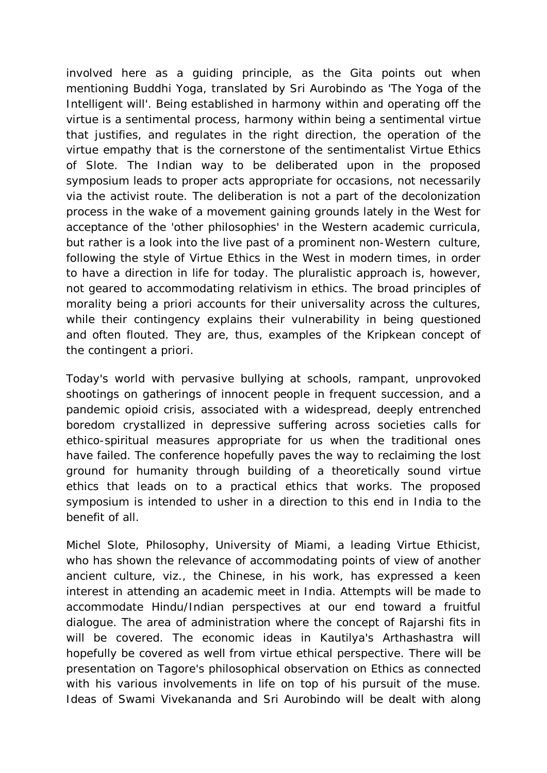involved here as a guiding principle, as the Gita points out when mentioning *Buddhi Yoga*, translated by Sri Aurobindo as 'The Yoga of the Intelligent will'. Being established in *harmony within* and operating off the virtue is a sentimental process, *harmony within* being a sentimental virtue that justifies, and regulates in the right direction, the operation of the virtue *empathy* that is the cornerstone of the sentimentalist Virtue Ethics of Slote. The Indian way to be deliberated upon in the proposed symposium leads to proper acts appropriate for occasions, not necessarily via the activist route. The deliberation is not a part of the decolonization process in the wake of a movement gaining grounds lately in the West for acceptance of the 'other philosophies' in the Western academic curricula, but rather is a look into the live past of a prominent non-Western culture, following the style of Virtue Ethics in the West in modern times, in order to have a direction in life for today. The pluralistic approach is, however, not geared to accommodating relativism in ethics. The broad principles of morality being a priori accounts for their universality across the cultures, while their contingency explains their vulnerability in being questioned and often flouted. They are, thus, examples of the Kripkean concept of the contingent a priori.

Today's world with pervasive bullying at schools, rampant, unprovoked shootings on gatherings of innocent people in frequent succession, and a pandemic opioid crisis, associated with a widespread, deeply entrenched boredom crystallized in depressive suffering across societies calls for ethico-spiritual measures appropriate for us when the traditional ones have failed. The conference hopefully paves the way to reclaiming the lost ground for humanity through building of a theoretically sound virtue ethics that leads on to a practical ethics that works. The proposed symposium is intended to usher in a direction to this end in India to the benefit of all.

Michel Slote, Philosophy, University of Miami, a leading Virtue Ethicist, who has shown the relevance of accommodating points of view of another ancient culture, viz., the Chinese, in his work, has expressed a keen interest in attending an academic meet in India. Attempts will be made to accommodate Hindu/Indian perspectives at our end toward a fruitful dialogue. The area of administration where the concept of Rajarshi fits in will be covered. The economic ideas in Kautilya's *Arthashastra* will hopefully be covered as well from virtue ethical perspective. There will be presentation on Tagore's philosophical observation on Ethics as connected with his various involvements in life on top of his pursuit of the muse. Ideas of Swami Vivekananda and Sri Aurobindo will be dealt with along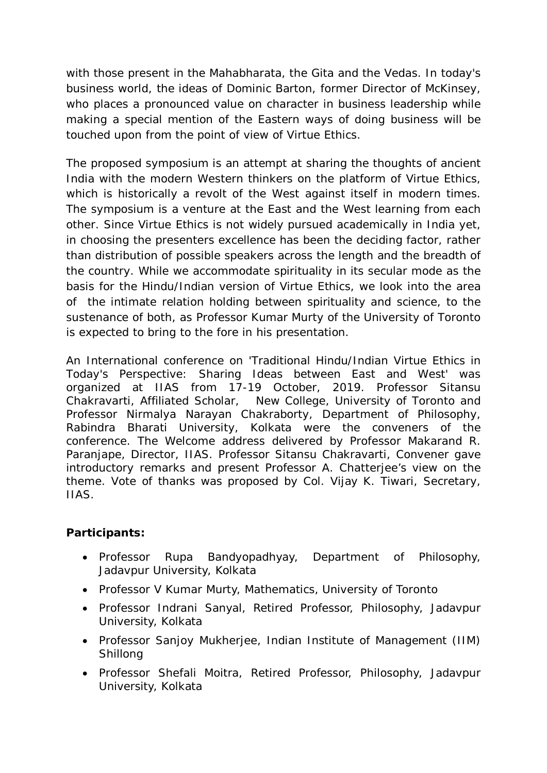with those present in the Mahabharata, the Gita and the Vedas. In today's business world, the ideas of Dominic Barton, former Director of McKinsey, who places a pronounced value on character in business leadership while making a special mention of the Eastern ways of doing business will be touched upon from the point of view of Virtue Ethics.

The proposed symposium is an attempt at sharing the thoughts of ancient India with the modern Western thinkers on the platform of Virtue Ethics, which is historically a revolt of the West against itself in modern times. The symposium is a venture at the East and the West learning from each other. Since Virtue Ethics is not widely pursued academically in India yet, in choosing the presenters excellence has been the deciding factor, rather than distribution of possible speakers across the length and the breadth of the country. While we accommodate spirituality in its secular mode as the basis for the Hindu/Indian version of Virtue Ethics, we look into the area of the intimate relation holding between spirituality and science, to the sustenance of both, as Professor Kumar Murty of the University of Toronto is expected to bring to the fore in his presentation.

An International conference on *'Traditional Hindu/Indian Virtue Ethics in Today's Perspective: Sharing Ideas between East and West'* was organized at IIAS from 17-19 October, 2019. Professor Sitansu Chakravarti, Affiliated Scholar, New College, University of Toronto and Professor Nirmalya Narayan Chakraborty, Department of Philosophy, Rabindra Bharati University, Kolkata were the conveners of the conference. The Welcome address delivered by Professor Makarand R. Paranjape, Director, IIAS. Professor Sitansu Chakravarti, Convener gave introductory remarks and present Professor A. Chatterjee's view on the theme. Vote of thanks was proposed by Col. Vijay K. Tiwari, Secretary, IIAS.

## **Participants:**

- Professor Rupa Bandyopadhyay, Department of Philosophy, Jadavpur University, Kolkata
- Professor V Kumar Murty, Mathematics, University of Toronto
- Professor Indrani Sanyal, Retired Professor, Philosophy, Jadavpur University, Kolkata
- Professor Sanjoy Mukherjee, Indian Institute of Management (IIM) Shillong
- Professor Shefali Moitra, Retired Professor, Philosophy, Jadavpur University, Kolkata